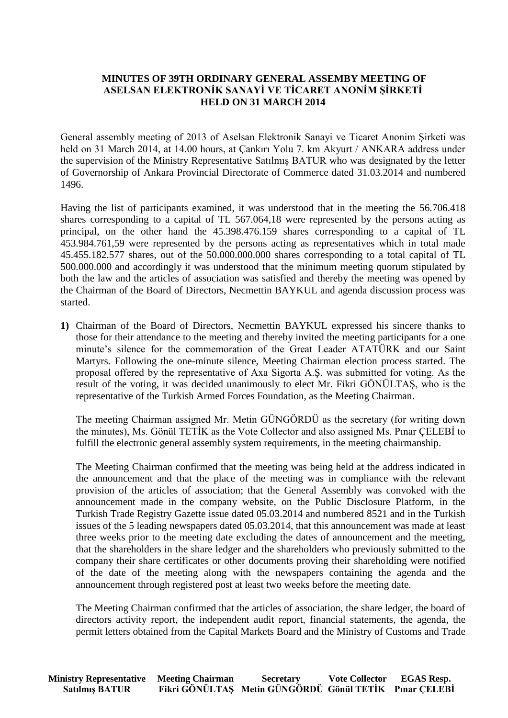## **MINUTES OF 39TH ORDINARY GENERAL ASSEMBY MEETING OF ASELSAN ELEKTRONİK SANAYİ VE TİCARET ANONİM ŞİRKETİ HELD ON 31 MARCH 2014**

General assembly meeting of 2013 of Aselsan Elektronik Sanayi ve Ticaret Anonim Şirketi was held on 31 March 2014, at 14.00 hours, at Cankırı Yolu 7. km Akyurt / ANKARA address under the supervision of the Ministry Representative Satılmış BATUR who was designated by the letter of Governorship of Ankara Provincial Directorate of Commerce dated 31.03.2014 and numbered 1496.

Having the list of participants examined, it was understood that in the meeting the 56.706.418 shares corresponding to a capital of TL 567.064,18 were represented by the persons acting as principal, on the other hand the 45.398.476.159 shares corresponding to a capital of TL 453.984.761,59 were represented by the persons acting as representatives which in total made 45.455.182.577 shares, out of the 50.000.000.000 shares corresponding to a total capital of TL 500.000.000 and accordingly it was understood that the minimum meeting quorum stipulated by both the law and the articles of association was satisfied and thereby the meeting was opened by the Chairman of the Board of Directors, Necmettin BAYKUL and agenda discussion process was started.

**1)** Chairman of the Board of Directors, Necmettin BAYKUL expressed his sincere thanks to those for their attendance to the meeting and thereby invited the meeting participants for a one minute's silence for the commemoration of the Great Leader ATATÜRK and our Saint Martyrs. Following the one-minute silence, Meeting Chairman election process started. The proposal offered by the representative of Axa Sigorta A.Ş. was submitted for voting. As the result of the voting, it was decided unanimously to elect Mr. Fikri GÖNÜLTAŞ, who is the representative of the Turkish Armed Forces Foundation, as the Meeting Chairman.

The meeting Chairman assigned Mr. Metin GÜNGÖRDÜ as the secretary (for writing down the minutes), Ms. Gönül TETİK as the Vote Collector and also assigned Ms. Pınar ÇELEBİ to fulfill the electronic general assembly system requirements, in the meeting chairmanship.

The Meeting Chairman confirmed that the meeting was being held at the address indicated in the announcement and that the place of the meeting was in compliance with the relevant provision of the articles of association; that the General Assembly was convoked with the announcement made in the company website, on the Public Disclosure Platform, in the Turkish Trade Registry Gazette issue dated 05.03.2014 and numbered 8521 and in the Turkish issues of the 5 leading newspapers dated 05.03.2014, that this announcement was made at least three weeks prior to the meeting date excluding the dates of announcement and the meeting, that the shareholders in the share ledger and the shareholders who previously submitted to the company their share certificates or other documents proving their shareholding were notified of the date of the meeting along with the newspapers containing the agenda and the announcement through registered post at least two weeks before the meeting date.

The Meeting Chairman confirmed that the articles of association, the share ledger, the board of directors activity report, the independent audit report, financial statements, the agenda, the permit letters obtained from the Capital Markets Board and the Ministry of Customs and Trade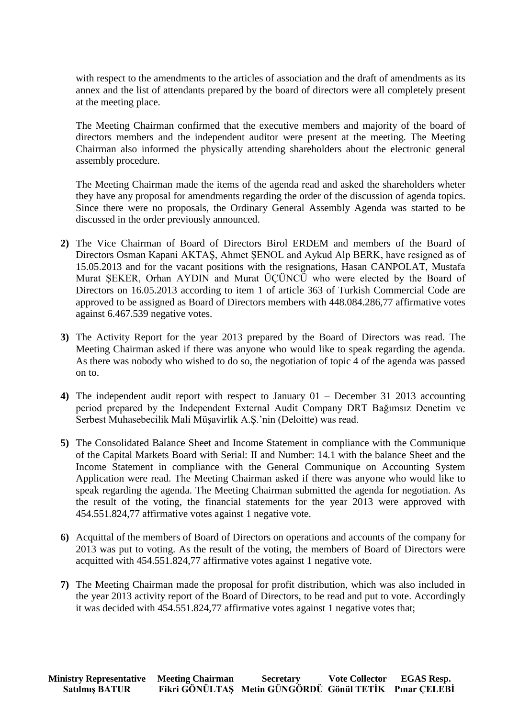with respect to the amendments to the articles of association and the draft of amendments as its annex and the list of attendants prepared by the board of directors were all completely present at the meeting place.

The Meeting Chairman confirmed that the executive members and majority of the board of directors members and the independent auditor were present at the meeting. The Meeting Chairman also informed the physically attending shareholders about the electronic general assembly procedure.

The Meeting Chairman made the items of the agenda read and asked the shareholders wheter they have any proposal for amendments regarding the order of the discussion of agenda topics. Since there were no proposals, the Ordinary General Assembly Agenda was started to be discussed in the order previously announced.

- **2)** The Vice Chairman of Board of Directors Birol ERDEM and members of the Board of Directors Osman Kapani AKTAŞ, Ahmet ŞENOL and Aykud Alp BERK, have resigned as of 15.05.2013 and for the vacant positions with the resignations, Hasan CANPOLAT, Mustafa Murat ŞEKER, Orhan AYDIN and Murat ÜÇÜNCÜ who were elected by the Board of Directors on 16.05.2013 according to item 1 of article 363 of Turkish Commercial Code are approved to be assigned as Board of Directors members with 448.084.286,77 affirmative votes against 6.467.539 negative votes.
- **3)** The Activity Report for the year 2013 prepared by the Board of Directors was read. The Meeting Chairman asked if there was anyone who would like to speak regarding the agenda. As there was nobody who wished to do so, the negotiation of topic 4 of the agenda was passed on to.
- **4)** The independent audit report with respect to January 01 December 31 2013 accounting period prepared by the Independent External Audit Company DRT Bağımsız Denetim ve Serbest Muhasebecilik Mali Müşavirlik A.Ş.'nin (Deloitte) was read.
- **5)** The Consolidated Balance Sheet and Income Statement in compliance with the Communique of the Capital Markets Board with Serial: II and Number: 14.1 with the balance Sheet and the Income Statement in compliance with the General Communique on Accounting System Application were read. The Meeting Chairman asked if there was anyone who would like to speak regarding the agenda. The Meeting Chairman submitted the agenda for negotiation. As the result of the voting, the financial statements for the year 2013 were approved with 454.551.824,77 affirmative votes against 1 negative vote.
- **6)** Acquittal of the members of Board of Directors on operations and accounts of the company for 2013 was put to voting. As the result of the voting, the members of Board of Directors were acquitted with 454.551.824,77 affirmative votes against 1 negative vote.
- **7)** The Meeting Chairman made the proposal for profit distribution, which was also included in the year 2013 activity report of the Board of Directors, to be read and put to vote. Accordingly it was decided with 454.551.824,77 affirmative votes against 1 negative votes that;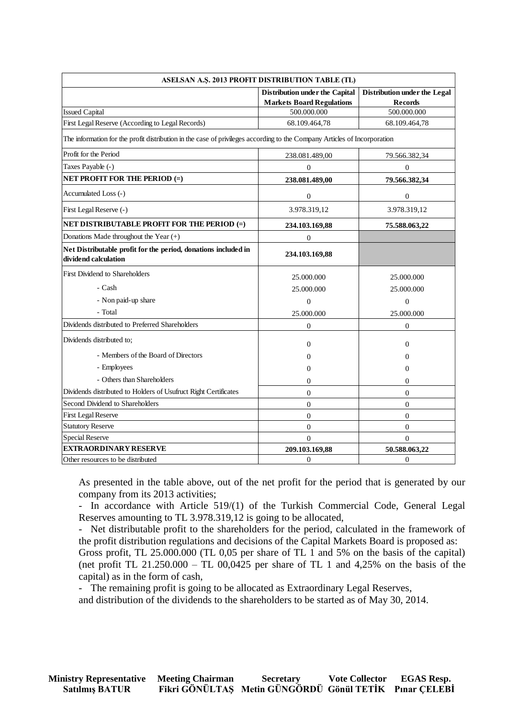| ASELSAN A.Ş. 2013 PROFIT DISTRIBUTION TABLE (TL)                                                                         |                                                                           |                                                |  |  |  |  |
|--------------------------------------------------------------------------------------------------------------------------|---------------------------------------------------------------------------|------------------------------------------------|--|--|--|--|
|                                                                                                                          | <b>Distribution under the Capital</b><br><b>Markets Board Regulations</b> | Distribution under the Legal<br><b>Records</b> |  |  |  |  |
| <b>Issued Capital</b>                                                                                                    | 500.000.000                                                               | 500.000.000                                    |  |  |  |  |
| First Legal Reserve (According to Legal Records)                                                                         | 68.109.464,78                                                             | 68.109.464,78                                  |  |  |  |  |
| The information for the profit distribution in the case of privileges according to the Company Articles of Incorporation |                                                                           |                                                |  |  |  |  |
| Profit for the Period                                                                                                    | 238.081.489,00                                                            | 79.566.382,34                                  |  |  |  |  |
| Taxes Payable (-)                                                                                                        | $\overline{0}$                                                            | $\overline{0}$                                 |  |  |  |  |
| <b>NET PROFIT FOR THE PERIOD (=)</b>                                                                                     | 238.081.489,00                                                            | 79.566.382,34                                  |  |  |  |  |
| Accumulated Loss (-)                                                                                                     | $\boldsymbol{0}$                                                          | $\boldsymbol{0}$                               |  |  |  |  |
| First Legal Reserve (-)                                                                                                  | 3.978.319,12                                                              | 3.978.319,12                                   |  |  |  |  |
| NET DISTRIBUTABLE PROFIT FOR THE PERIOD (=)                                                                              | 234.103.169,88                                                            | 75.588.063,22                                  |  |  |  |  |
| Donations Made throughout the Year (+)                                                                                   | $\boldsymbol{0}$                                                          |                                                |  |  |  |  |
| Net Distributable profit for the period, donations included in<br>dividend calculation                                   | 234.103.169,88                                                            |                                                |  |  |  |  |
| <b>First Dividend to Shareholders</b>                                                                                    | 25.000.000                                                                | 25,000,000                                     |  |  |  |  |
| - Cash                                                                                                                   | 25.000.000                                                                | 25.000.000                                     |  |  |  |  |
| - Non paid-up share                                                                                                      | $\boldsymbol{0}$                                                          | $\overline{0}$                                 |  |  |  |  |
| - Total                                                                                                                  | 25.000.000                                                                | 25.000.000                                     |  |  |  |  |
| Dividends distributed to Preferred Shareholders                                                                          | $\boldsymbol{0}$                                                          | $\overline{0}$                                 |  |  |  |  |
| Dividends distributed to:                                                                                                | $\Omega$                                                                  | $\Omega$                                       |  |  |  |  |
| - Members of the Board of Directors                                                                                      | 0                                                                         | $\Omega$                                       |  |  |  |  |
| - Employees                                                                                                              | $\Omega$                                                                  | $\Omega$                                       |  |  |  |  |
| - Others than Shareholders                                                                                               | $\Omega$                                                                  | $\Omega$                                       |  |  |  |  |
| Dividends distributed to Holders of Usufruct Right Certificates                                                          | $\overline{0}$                                                            | $\mathbf{0}$                                   |  |  |  |  |
| Second Dividend to Shareholders                                                                                          | $\overline{0}$                                                            | $\mathbf{0}$                                   |  |  |  |  |
| <b>First Legal Reserve</b>                                                                                               | $\overline{0}$                                                            | $\overline{0}$                                 |  |  |  |  |
| <b>Statutory Reserve</b>                                                                                                 | $\overline{0}$                                                            | $\boldsymbol{0}$                               |  |  |  |  |
| <b>Special Reserve</b>                                                                                                   | $\overline{0}$                                                            | $\overline{0}$                                 |  |  |  |  |
| <b>EXTRAORDINARY RESERVE</b>                                                                                             | 209.103.169,88                                                            | 50.588.063,22                                  |  |  |  |  |
| Other resources to be distributed                                                                                        | $\Omega$                                                                  | $\Omega$                                       |  |  |  |  |

As presented in the table above, out of the net profit for the period that is generated by our company from its 2013 activities;

- In accordance with Article 519/(1) of the Turkish Commercial Code, General Legal Reserves amounting to TL 3.978.319,12 is going to be allocated,

- Net distributable profit to the shareholders for the period, calculated in the framework of the profit distribution regulations and decisions of the Capital Markets Board is proposed as: Gross profit, TL 25.000.000 (TL 0,05 per share of TL 1 and 5% on the basis of the capital) (net profit TL 21.250.000 – TL 00,0425 per share of TL 1 and 4,25% on the basis of the capital) as in the form of cash,

- The remaining profit is going to be allocated as Extraordinary Legal Reserves, and distribution of the dividends to the shareholders to be started as of May 30, 2014.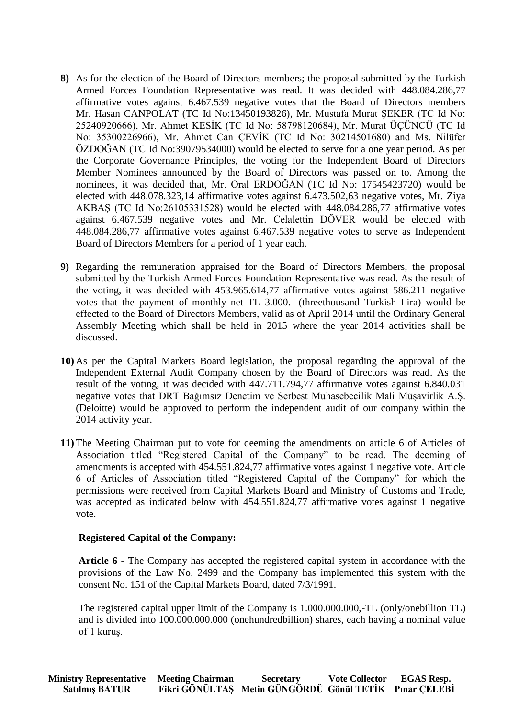- **8)** As for the election of the Board of Directors members; the proposal submitted by the Turkish Armed Forces Foundation Representative was read. It was decided with 448.084.286,77 affirmative votes against 6.467.539 negative votes that the Board of Directors members Mr. Hasan CANPOLAT (TC Id No:13450193826), Mr. Mustafa Murat ŞEKER (TC Id No: 25240920666), Mr. Ahmet KESİK (TC Id No: 58798120684), Mr. Murat ÜÇÜNCÜ (TC Id No: 35300226966), Mr. Ahmet Can ÇEVİK (TC Id No: 30214501680) and Ms. Nilüfer ÖZDOĞAN (TC Id No:39079534000) would be elected to serve for a one year period. As per the Corporate Governance Principles, the voting for the Independent Board of Directors Member Nominees announced by the Board of Directors was passed on to. Among the nominees, it was decided that, Mr. Oral ERDOĞAN (TC Id No: 17545423720) would be elected with 448.078.323,14 affirmative votes against 6.473.502,63 negative votes, Mr. Ziya AKBAŞ (TC Id No:26105331528) would be elected with 448.084.286,77 affirmative votes against 6.467.539 negative votes and Mr. Celalettin DÖVER would be elected with 448.084.286,77 affirmative votes against 6.467.539 negative votes to serve as Independent Board of Directors Members for a period of 1 year each.
- **9)** Regarding the remuneration appraised for the Board of Directors Members, the proposal submitted by the Turkish Armed Forces Foundation Representative was read. As the result of the voting, it was decided with 453.965.614,77 affirmative votes against 586.211 negative votes that the payment of monthly net TL 3.000.- (threethousand Turkish Lira) would be effected to the Board of Directors Members, valid as of April 2014 until the Ordinary General Assembly Meeting which shall be held in 2015 where the year 2014 activities shall be discussed.
- **10)** As per the Capital Markets Board legislation, the proposal regarding the approval of the Independent External Audit Company chosen by the Board of Directors was read. As the result of the voting, it was decided with 447.711.794,77 affirmative votes against 6.840.031 negative votes that DRT Bağımsız Denetim ve Serbest Muhasebecilik Mali Müşavirlik A.Ş. (Deloitte) would be approved to perform the independent audit of our company within the 2014 activity year.
- **11)** The Meeting Chairman put to vote for deeming the amendments on article 6 of Articles of Association titled "Registered Capital of the Company" to be read. The deeming of amendments is accepted with 454.551.824,77 affirmative votes against 1 negative vote. Article 6 of Articles of Association titled "Registered Capital of the Company" for which the permissions were received from Capital Markets Board and Ministry of Customs and Trade, was accepted as indicated below with 454.551.824,77 affirmative votes against 1 negative vote.

#### **Registered Capital of the Company:**

**Article 6 -** The Company has accepted the registered capital system in accordance with the provisions of the Law No. 2499 and the Company has implemented this system with the consent No. 151 of the Capital Markets Board, dated 7/3/1991.

The registered capital upper limit of the Company is 1.000.000.000,-TL (only/onebillion TL) and is divided into 100.000.000.000 (onehundredbillion) shares, each having a nominal value of 1 kuruş.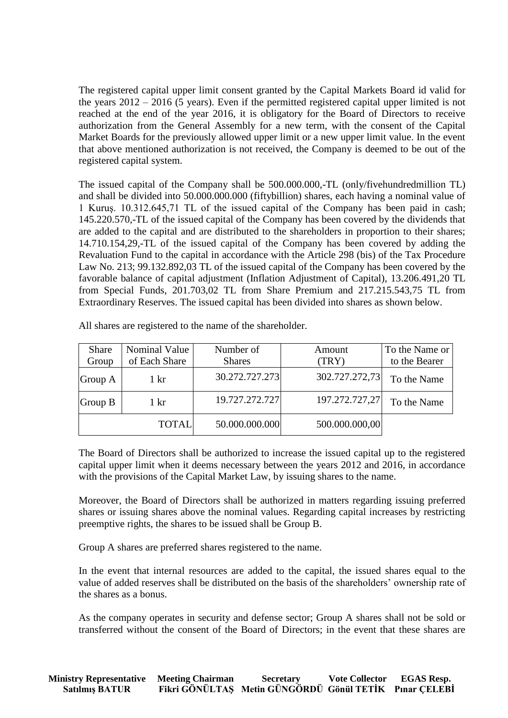The registered capital upper limit consent granted by the Capital Markets Board id valid for the years 2012 – 2016 (5 years). Even if the permitted registered capital upper limited is not reached at the end of the year 2016, it is obligatory for the Board of Directors to receive authorization from the General Assembly for a new term, with the consent of the Capital Market Boards for the previously allowed upper limit or a new upper limit value. In the event that above mentioned authorization is not received, the Company is deemed to be out of the registered capital system.

The issued capital of the Company shall be 500.000.000,-TL (only/fivehundredmillion TL) and shall be divided into 50.000.000.000 (fiftybillion) shares, each having a nominal value of 1 Kuruş. 10.312.645,71 TL of the issued capital of the Company has been paid in cash; 145.220.570,-TL of the issued capital of the Company has been covered by the dividends that are added to the capital and are distributed to the shareholders in proportion to their shares; 14.710.154,29,-TL of the issued capital of the Company has been covered by adding the Revaluation Fund to the capital in accordance with the Article 298 (bis) of the Tax Procedure Law No. 213; 99.132.892,03 TL of the issued capital of the Company has been covered by the favorable balance of capital adjustment (Inflation Adjustment of Capital), 13.206.491,20 TL from Special Funds, 201.703,02 TL from Share Premium and 217.215.543,75 TL from Extraordinary Reserves. The issued capital has been divided into shares as shown below.

| <b>Share</b> | Nominal Value      | Number of      | Amount         | To the Name or |
|--------------|--------------------|----------------|----------------|----------------|
| Group        | of Each Share      | <b>Shares</b>  | (TRY)          | to the Bearer  |
| Group A      | 1 kr               | 30.272.727.273 | 302.727.272,73 | To the Name    |
| Group B      | $1 \; \mathrm{kr}$ | 19.727.272.727 | 197.272.727,27 | To the Name    |
|              | <b>TOTAL</b>       | 50.000.000.000 | 500.000.000,00 |                |

All shares are registered to the name of the shareholder.

The Board of Directors shall be authorized to increase the issued capital up to the registered capital upper limit when it deems necessary between the years 2012 and 2016, in accordance with the provisions of the Capital Market Law, by issuing shares to the name.

Moreover, the Board of Directors shall be authorized in matters regarding issuing preferred shares or issuing shares above the nominal values. Regarding capital increases by restricting preemptive rights, the shares to be issued shall be Group B.

Group A shares are preferred shares registered to the name.

In the event that internal resources are added to the capital, the issued shares equal to the value of added reserves shall be distributed on the basis of the shareholders' ownership rate of the shares as a bonus.

As the company operates in security and defense sector; Group A shares shall not be sold or transferred without the consent of the Board of Directors; in the event that these shares are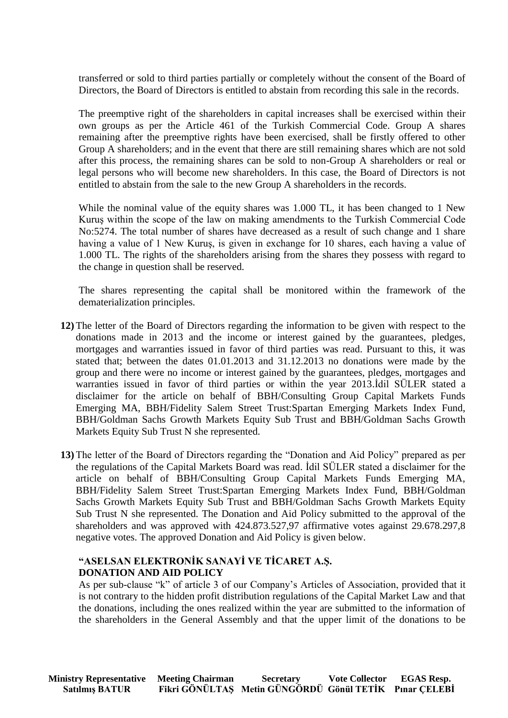transferred or sold to third parties partially or completely without the consent of the Board of Directors, the Board of Directors is entitled to abstain from recording this sale in the records.

The preemptive right of the shareholders in capital increases shall be exercised within their own groups as per the Article 461 of the Turkish Commercial Code. Group A shares remaining after the preemptive rights have been exercised, shall be firstly offered to other Group A shareholders; and in the event that there are still remaining shares which are not sold after this process, the remaining shares can be sold to non-Group A shareholders or real or legal persons who will become new shareholders. In this case, the Board of Directors is not entitled to abstain from the sale to the new Group A shareholders in the records.

While the nominal value of the equity shares was 1.000 TL, it has been changed to 1 New Kuruş within the scope of the law on making amendments to the Turkish Commercial Code No:5274. The total number of shares have decreased as a result of such change and 1 share having a value of 1 New Kuruş, is given in exchange for 10 shares, each having a value of 1.000 TL. The rights of the shareholders arising from the shares they possess with regard to the change in question shall be reserved.

The shares representing the capital shall be monitored within the framework of the dematerialization principles.

- **12)** The letter of the Board of Directors regarding the information to be given with respect to the donations made in 2013 and the income or interest gained by the guarantees, pledges, mortgages and warranties issued in favor of third parties was read. Pursuant to this, it was stated that; between the dates 01.01.2013 and 31.12.2013 no donations were made by the group and there were no income or interest gained by the guarantees, pledges, mortgages and warranties issued in favor of third parties or within the year 2013.İdil SÜLER stated a disclaimer for the article on behalf of BBH/Consulting Group Capital Markets Funds Emerging MA, BBH/Fidelity Salem Street Trust:Spartan Emerging Markets Index Fund, BBH/Goldman Sachs Growth Markets Equity Sub Trust and BBH/Goldman Sachs Growth Markets Equity Sub Trust N she represented.
- **13)** The letter of the Board of Directors regarding the "Donation and Aid Policy" prepared as per the regulations of the Capital Markets Board was read. İdil SÜLER stated a disclaimer for the article on behalf of BBH/Consulting Group Capital Markets Funds Emerging MA, BBH/Fidelity Salem Street Trust:Spartan Emerging Markets Index Fund, BBH/Goldman Sachs Growth Markets Equity Sub Trust and BBH/Goldman Sachs Growth Markets Equity Sub Trust N she represented. The Donation and Aid Policy submitted to the approval of the shareholders and was approved with 424.873.527,97 affirmative votes against 29.678.297,8 negative votes. The approved Donation and Aid Policy is given below.

#### **"ASELSAN ELEKTRONİK SANAYİ VE TİCARET A.Ş. DONATION AND AID POLICY**

As per sub-clause "k" of article 3 of our Company's Articles of Association, provided that it is not contrary to the hidden profit distribution regulations of the Capital Market Law and that the donations, including the ones realized within the year are submitted to the information of the shareholders in the General Assembly and that the upper limit of the donations to be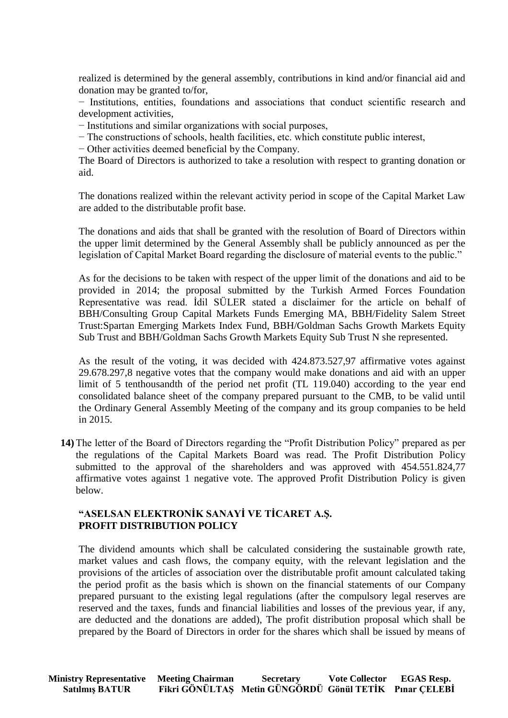realized is determined by the general assembly, contributions in kind and/or financial aid and donation may be granted to/for,

− Institutions, entities, foundations and associations that conduct scientific research and development activities,

− Institutions and similar organizations with social purposes,

− The constructions of schools, health facilities, etc. which constitute public interest,

− Other activities deemed beneficial by the Company.

The Board of Directors is authorized to take a resolution with respect to granting donation or aid.

The donations realized within the relevant activity period in scope of the Capital Market Law are added to the distributable profit base.

The donations and aids that shall be granted with the resolution of Board of Directors within the upper limit determined by the General Assembly shall be publicly announced as per the legislation of Capital Market Board regarding the disclosure of material events to the public."

As for the decisions to be taken with respect of the upper limit of the donations and aid to be provided in 2014; the proposal submitted by the Turkish Armed Forces Foundation Representative was read. İdil SÜLER stated a disclaimer for the article on behalf of BBH/Consulting Group Capital Markets Funds Emerging MA, BBH/Fidelity Salem Street Trust:Spartan Emerging Markets Index Fund, BBH/Goldman Sachs Growth Markets Equity Sub Trust and BBH/Goldman Sachs Growth Markets Equity Sub Trust N she represented.

As the result of the voting, it was decided with 424.873.527,97 affirmative votes against 29.678.297,8 negative votes that the company would make donations and aid with an upper limit of 5 tenthousandth of the period net profit (TL 119.040) according to the year end consolidated balance sheet of the company prepared pursuant to the CMB, to be valid until the Ordinary General Assembly Meeting of the company and its group companies to be held in 2015.

**14)** The letter of the Board of Directors regarding the "Profit Distribution Policy" prepared as per the regulations of the Capital Markets Board was read. The Profit Distribution Policy submitted to the approval of the shareholders and was approved with 454.551.824,77 affirmative votes against 1 negative vote. The approved Profit Distribution Policy is given below.

## **"ASELSAN ELEKTRONİK SANAYİ VE TİCARET A.Ş. PROFIT DISTRIBUTION POLICY**

The dividend amounts which shall be calculated considering the sustainable growth rate, market values and cash flows, the company equity, with the relevant legislation and the provisions of the articles of association over the distributable profit amount calculated taking the period profit as the basis which is shown on the financial statements of our Company prepared pursuant to the existing legal regulations (after the compulsory legal reserves are reserved and the taxes, funds and financial liabilities and losses of the previous year, if any, are deducted and the donations are added), The profit distribution proposal which shall be prepared by the Board of Directors in order for the shares which shall be issued by means of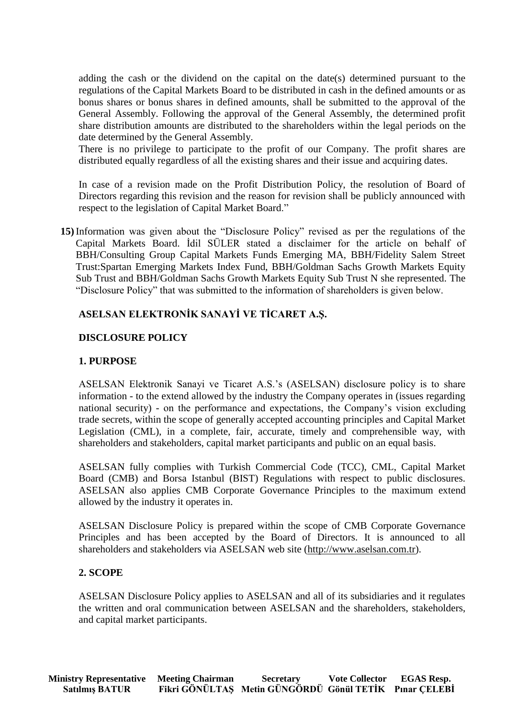adding the cash or the dividend on the capital on the date(s) determined pursuant to the regulations of the Capital Markets Board to be distributed in cash in the defined amounts or as bonus shares or bonus shares in defined amounts, shall be submitted to the approval of the General Assembly. Following the approval of the General Assembly, the determined profit share distribution amounts are distributed to the shareholders within the legal periods on the date determined by the General Assembly.

There is no privilege to participate to the profit of our Company. The profit shares are distributed equally regardless of all the existing shares and their issue and acquiring dates.

In case of a revision made on the Profit Distribution Policy, the resolution of Board of Directors regarding this revision and the reason for revision shall be publicly announced with respect to the legislation of Capital Market Board."

**15)** Information was given about the "Disclosure Policy" revised as per the regulations of the Capital Markets Board. İdil SÜLER stated a disclaimer for the article on behalf of BBH/Consulting Group Capital Markets Funds Emerging MA, BBH/Fidelity Salem Street Trust:Spartan Emerging Markets Index Fund, BBH/Goldman Sachs Growth Markets Equity Sub Trust and BBH/Goldman Sachs Growth Markets Equity Sub Trust N she represented. The "Disclosure Policy" that was submitted to the information of shareholders is given below.

## **ASELSAN ELEKTRONİK SANAYİ VE TİCARET A.Ş.**

### **DISCLOSURE POLICY**

### **1. PURPOSE**

ASELSAN Elektronik Sanayi ve Ticaret A.S.'s (ASELSAN) disclosure policy is to share information - to the extend allowed by the industry the Company operates in (issues regarding national security) - on the performance and expectations, the Company's vision excluding trade secrets, within the scope of generally accepted accounting principles and Capital Market Legislation (CML), in a complete, fair, accurate, timely and comprehensible way, with shareholders and stakeholders, capital market participants and public on an equal basis.

ASELSAN fully complies with Turkish Commercial Code (TCC), CML, Capital Market Board (CMB) and Borsa Istanbul (BIST) Regulations with respect to public disclosures. ASELSAN also applies CMB Corporate Governance Principles to the maximum extend allowed by the industry it operates in.

ASELSAN Disclosure Policy is prepared within the scope of CMB Corporate Governance Principles and has been accepted by the Board of Directors. It is announced to all shareholders and stakeholders via ASELSAN web site [\(http://www.aselsan.com.tr\)](http://www.aselsan.com.tr/).

#### **2. SCOPE**

ASELSAN Disclosure Policy applies to ASELSAN and all of its subsidiaries and it regulates the written and oral communication between ASELSAN and the shareholders, stakeholders, and capital market participants.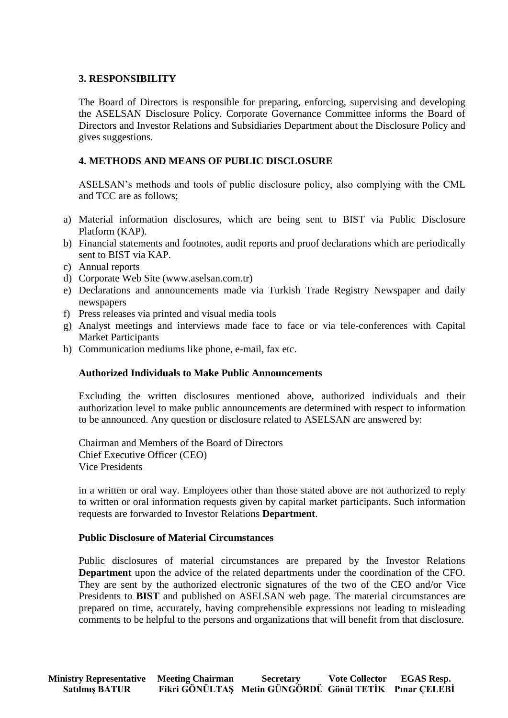### **3. RESPONSIBILITY**

The Board of Directors is responsible for preparing, enforcing, supervising and developing the ASELSAN Disclosure Policy. Corporate Governance Committee informs the Board of Directors and Investor Relations and Subsidiaries Department about the Disclosure Policy and gives suggestions.

## **4. METHODS AND MEANS OF PUBLIC DISCLOSURE**

ASELSAN's methods and tools of public disclosure policy, also complying with the CML and TCC are as follows;

- a) Material information disclosures, which are being sent to BIST via Public Disclosure Platform (KAP).
- b) Financial statements and footnotes, audit reports and proof declarations which are periodically sent to BIST via KAP.
- c) Annual reports
- d) Corporate Web Site (www.aselsan.com.tr)
- e) Declarations and announcements made via Turkish Trade Registry Newspaper and daily newspapers
- f) Press releases via printed and visual media tools
- g) Analyst meetings and interviews made face to face or via tele-conferences with Capital Market Participants
- h) Communication mediums like phone, e-mail, fax etc.

#### **Authorized Individuals to Make Public Announcements**

Excluding the written disclosures mentioned above, authorized individuals and their authorization level to make public announcements are determined with respect to information to be announced. Any question or disclosure related to ASELSAN are answered by:

Chairman and Members of the Board of Directors Chief Executive Officer (CEO) Vice Presidents

in a written or oral way. Employees other than those stated above are not authorized to reply to written or oral information requests given by capital market participants. Such information requests are forwarded to Investor Relations **Department**.

#### **Public Disclosure of Material Circumstances**

Public disclosures of material circumstances are prepared by the Investor Relations **Department** upon the advice of the related departments under the coordination of the CFO. They are sent by the authorized electronic signatures of the two of the CEO and/or Vice Presidents to **BIST** and published on ASELSAN web page. The material circumstances are prepared on time, accurately, having comprehensible expressions not leading to misleading comments to be helpful to the persons and organizations that will benefit from that disclosure.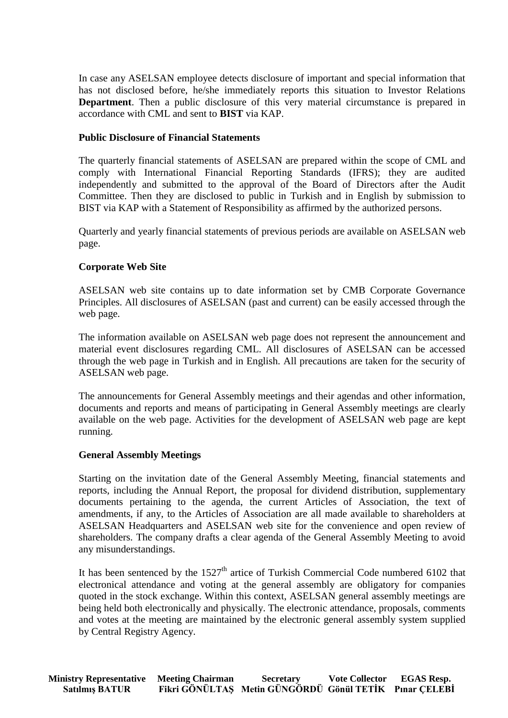In case any ASELSAN employee detects disclosure of important and special information that has not disclosed before, he/she immediately reports this situation to Investor Relations **Department**. Then a public disclosure of this very material circumstance is prepared in accordance with CML and sent to **BIST** via KAP.

### **Public Disclosure of Financial Statements**

The quarterly financial statements of ASELSAN are prepared within the scope of CML and comply with International Financial Reporting Standards (IFRS); they are audited independently and submitted to the approval of the Board of Directors after the Audit Committee. Then they are disclosed to public in Turkish and in English by submission to BIST via KAP with a Statement of Responsibility as affirmed by the authorized persons.

Quarterly and yearly financial statements of previous periods are available on ASELSAN web page.

### **Corporate Web Site**

ASELSAN web site contains up to date information set by CMB Corporate Governance Principles. All disclosures of ASELSAN (past and current) can be easily accessed through the web page.

The information available on ASELSAN web page does not represent the announcement and material event disclosures regarding CML. All disclosures of ASELSAN can be accessed through the web page in Turkish and in English. All precautions are taken for the security of ASELSAN web page.

The announcements for General Assembly meetings and their agendas and other information, documents and reports and means of participating in General Assembly meetings are clearly available on the web page. Activities for the development of ASELSAN web page are kept running.

#### **General Assembly Meetings**

Starting on the invitation date of the General Assembly Meeting, financial statements and reports, including the Annual Report, the proposal for dividend distribution, supplementary documents pertaining to the agenda, the current Articles of Association, the text of amendments, if any, to the Articles of Association are all made available to shareholders at ASELSAN Headquarters and ASELSAN web site for the convenience and open review of shareholders. The company drafts a clear agenda of the General Assembly Meeting to avoid any misunderstandings.

It has been sentenced by the  $1527<sup>th</sup>$  artice of Turkish Commercial Code numbered 6102 that electronical attendance and voting at the general assembly are obligatory for companies quoted in the stock exchange. Within this context, ASELSAN general assembly meetings are being held both electronically and physically. The electronic attendance, proposals, comments and votes at the meeting are maintained by the electronic general assembly system supplied by Central Registry Agency.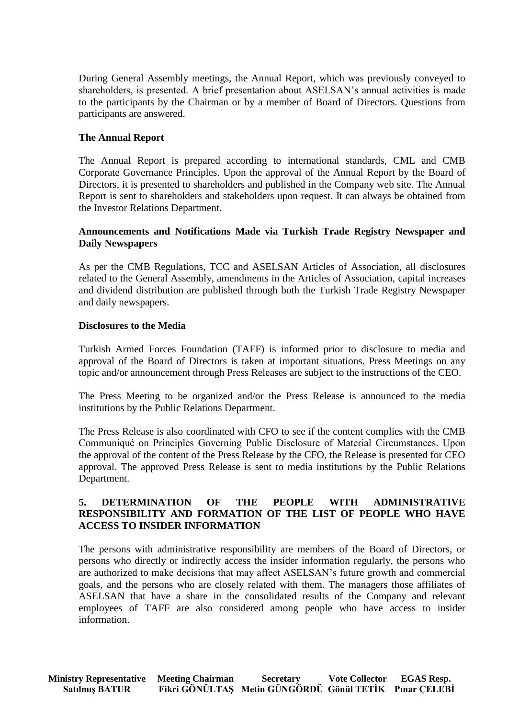During General Assembly meetings, the Annual Report, which was previously conveyed to shareholders, is presented. A brief presentation about ASELSAN's annual activities is made to the participants by the Chairman or by a member of Board of Directors. Questions from participants are answered.

### **The Annual Report**

The Annual Report is prepared according to international standards, CML and CMB Corporate Governance Principles. Upon the approval of the Annual Report by the Board of Directors, it is presented to shareholders and published in the Company web site. The Annual Report is sent to shareholders and stakeholders upon request. It can always be obtained from the Investor Relations Department.

### **Announcements and Notifications Made via Turkish Trade Registry Newspaper and Daily Newspapers**

As per the CMB Regulations, TCC and ASELSAN Articles of Association, all disclosures related to the General Assembly, amendments in the Articles of Association, capital increases and dividend distribution are published through both the Turkish Trade Registry Newspaper and daily newspapers.

#### **Disclosures to the Media**

Turkish Armed Forces Foundation (TAFF) is informed prior to disclosure to media and approval of the Board of Directors is taken at important situations. Press Meetings on any topic and/or announcement through Press Releases are subject to the instructions of the CEO.

The Press Meeting to be organized and/or the Press Release is announced to the media institutions by the Public Relations Department.

The Press Release is also coordinated with CFO to see if the content complies with the CMB Communiqué on Principles Governing Public Disclosure of Material Circumstances. Upon the approval of the content of the Press Release by the CFO, the Release is presented for CEO approval. The approved Press Release is sent to media institutions by the Public Relations Department.

## **5. DETERMINATION OF THE PEOPLE WITH ADMINISTRATIVE RESPONSIBILITY AND FORMATION OF THE LIST OF PEOPLE WHO HAVE ACCESS TO INSIDER INFORMATION**

The persons with administrative responsibility are members of the Board of Directors, or persons who directly or indirectly access the insider information regularly, the persons who are authorized to make decisions that may affect ASELSAN's future growth and commercial goals, and the persons who are closely related with them. The managers those affiliates of ASELSAN that have a share in the consolidated results of the Company and relevant employees of TAFF are also considered among people who have access to insider information.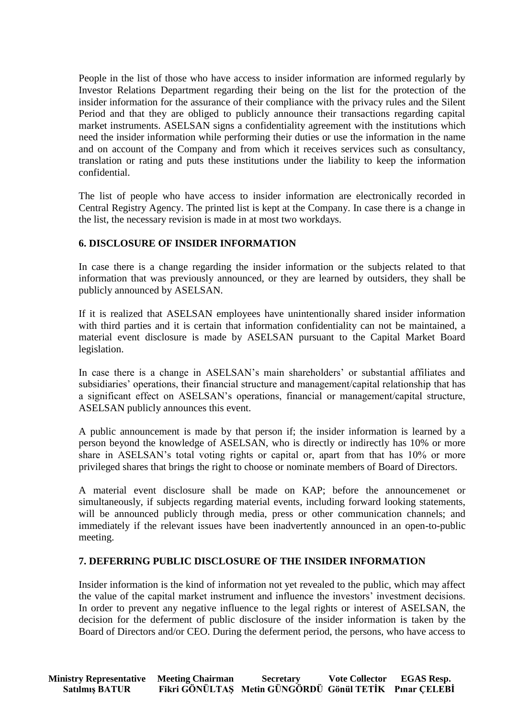People in the list of those who have access to insider information are informed regularly by Investor Relations Department regarding their being on the list for the protection of the insider information for the assurance of their compliance with the privacy rules and the Silent Period and that they are obliged to publicly announce their transactions regarding capital market instruments. ASELSAN signs a confidentiality agreement with the institutions which need the insider information while performing their duties or use the information in the name and on account of the Company and from which it receives services such as consultancy, translation or rating and puts these institutions under the liability to keep the information confidential.

The list of people who have access to insider information are electronically recorded in Central Registry Agency. The printed list is kept at the Company. In case there is a change in the list, the necessary revision is made in at most two workdays.

## **6. DISCLOSURE OF INSIDER INFORMATION**

In case there is a change regarding the insider information or the subjects related to that information that was previously announced, or they are learned by outsiders, they shall be publicly announced by ASELSAN.

If it is realized that ASELSAN employees have unintentionally shared insider information with third parties and it is certain that information confidentiality can not be maintained, a material event disclosure is made by ASELSAN pursuant to the Capital Market Board legislation.

In case there is a change in ASELSAN's main shareholders' or substantial affiliates and subsidiaries' operations, their financial structure and management/capital relationship that has a significant effect on ASELSAN's operations, financial or management/capital structure, ASELSAN publicly announces this event.

A public announcement is made by that person if; the insider information is learned by a person beyond the knowledge of ASELSAN, who is directly or indirectly has 10% or more share in ASELSAN's total voting rights or capital or, apart from that has 10% or more privileged shares that brings the right to choose or nominate members of Board of Directors.

A material event disclosure shall be made on KAP; before the announcemenet or simultaneously, if subjects regarding material events, including forward looking statements, will be announced publicly through media, press or other communication channels; and immediately if the relevant issues have been inadvertently announced in an open-to-public meeting.

## **7. DEFERRING PUBLIC DISCLOSURE OF THE INSIDER INFORMATION**

Insider information is the kind of information not yet revealed to the public, which may affect the value of the capital market instrument and influence the investors' investment decisions. In order to prevent any negative influence to the legal rights or interest of ASELSAN, the decision for the deferment of public disclosure of the insider information is taken by the Board of Directors and/or CEO. During the deferment period, the persons, who have access to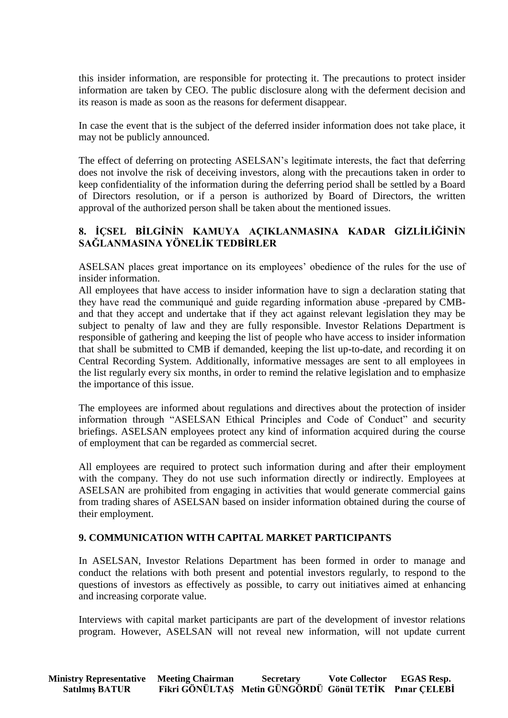this insider information, are responsible for protecting it. The precautions to protect insider information are taken by CEO. The public disclosure along with the deferment decision and its reason is made as soon as the reasons for deferment disappear.

In case the event that is the subject of the deferred insider information does not take place, it may not be publicly announced.

The effect of deferring on protecting ASELSAN's legitimate interests, the fact that deferring does not involve the risk of deceiving investors, along with the precautions taken in order to keep confidentiality of the information during the deferring period shall be settled by a Board of Directors resolution, or if a person is authorized by Board of Directors, the written approval of the authorized person shall be taken about the mentioned issues.

# **8. İÇSEL BİLGİNİN KAMUYA AÇIKLANMASINA KADAR GİZLİLİĞİNİN SAĞLANMASINA YÖNELİK TEDBİRLER**

ASELSAN places great importance on its employees' obedience of the rules for the use of insider information.

All employees that have access to insider information have to sign a declaration stating that they have read the communiqué and guide regarding information abuse -prepared by CMBand that they accept and undertake that if they act against relevant legislation they may be subject to penalty of law and they are fully responsible. Investor Relations Department is responsible of gathering and keeping the list of people who have access to insider information that shall be submitted to CMB if demanded, keeping the list up-to-date, and recording it on Central Recording System. Additionally, informative messages are sent to all employees in the list regularly every six months, in order to remind the relative legislation and to emphasize the importance of this issue.

The employees are informed about regulations and directives about the protection of insider information through "ASELSAN Ethical Principles and Code of Conduct" and security briefings. ASELSAN employees protect any kind of information acquired during the course of employment that can be regarded as commercial secret.

All employees are required to protect such information during and after their employment with the company. They do not use such information directly or indirectly. Employees at ASELSAN are prohibited from engaging in activities that would generate commercial gains from trading shares of ASELSAN based on insider information obtained during the course of their employment.

## **9. COMMUNICATION WITH CAPITAL MARKET PARTICIPANTS**

In ASELSAN, Investor Relations Department has been formed in order to manage and conduct the relations with both present and potential investors regularly, to respond to the questions of investors as effectively as possible, to carry out initiatives aimed at enhancing and increasing corporate value.

Interviews with capital market participants are part of the development of investor relations program. However, ASELSAN will not reveal new information, will not update current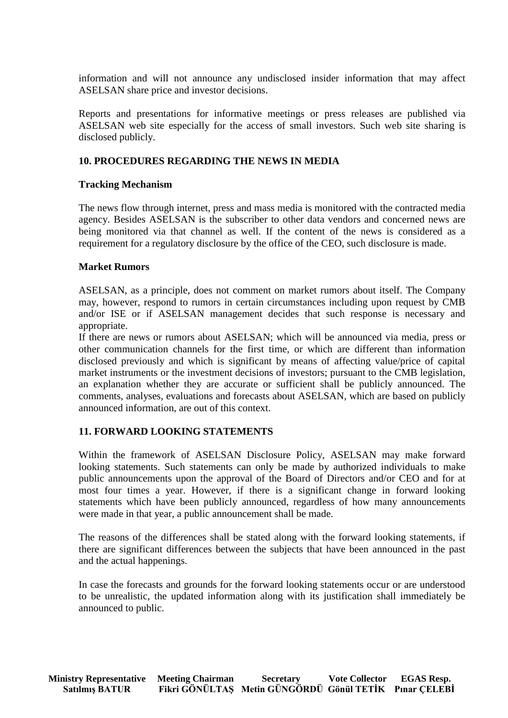information and will not announce any undisclosed insider information that may affect ASELSAN share price and investor decisions.

Reports and presentations for informative meetings or press releases are published via ASELSAN web site especially for the access of small investors. Such web site sharing is disclosed publicly.

### **10. PROCEDURES REGARDING THE NEWS IN MEDIA**

#### **Tracking Mechanism**

The news flow through internet, press and mass media is monitored with the contracted media agency. Besides ASELSAN is the subscriber to other data vendors and concerned news are being monitored via that channel as well. If the content of the news is considered as a requirement for a regulatory disclosure by the office of the CEO, such disclosure is made.

#### **Market Rumors**

ASELSAN, as a principle, does not comment on market rumors about itself. The Company may, however, respond to rumors in certain circumstances including upon request by CMB and/or ISE or if ASELSAN management decides that such response is necessary and appropriate.

If there are news or rumors about ASELSAN; which will be announced via media, press or other communication channels for the first time, or which are different than information disclosed previously and which is significant by means of affecting value/price of capital market instruments or the investment decisions of investors; pursuant to the CMB legislation, an explanation whether they are accurate or sufficient shall be publicly announced. The comments, analyses, evaluations and forecasts about ASELSAN, which are based on publicly announced information, are out of this context.

#### **11. FORWARD LOOKING STATEMENTS**

Within the framework of ASELSAN Disclosure Policy, ASELSAN may make forward looking statements. Such statements can only be made by authorized individuals to make public announcements upon the approval of the Board of Directors and/or CEO and for at most four times a year. However, if there is a significant change in forward looking statements which have been publicly announced, regardless of how many announcements were made in that year, a public announcement shall be made.

The reasons of the differences shall be stated along with the forward looking statements, if there are significant differences between the subjects that have been announced in the past and the actual happenings.

In case the forecasts and grounds for the forward looking statements occur or are understood to be unrealistic, the updated information along with its justification shall immediately be announced to public.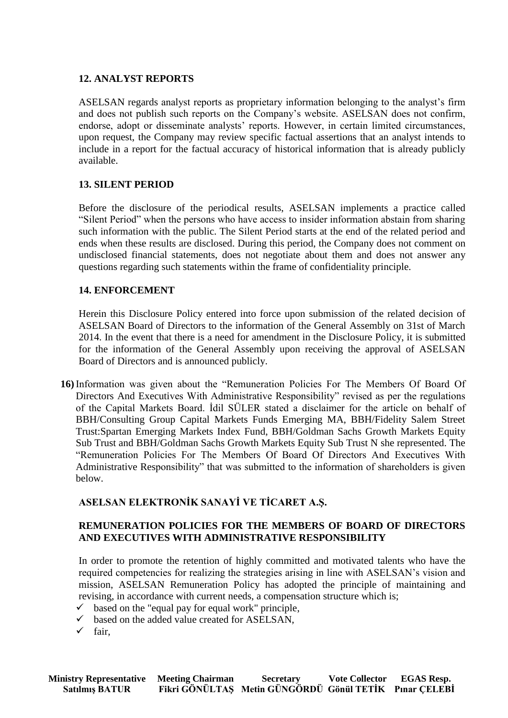### **12. ANALYST REPORTS**

ASELSAN regards analyst reports as proprietary information belonging to the analyst's firm and does not publish such reports on the Company's website. ASELSAN does not confirm, endorse, adopt or disseminate analysts' reports. However, in certain limited circumstances, upon request, the Company may review specific factual assertions that an analyst intends to include in a report for the factual accuracy of historical information that is already publicly available.

### **13. SILENT PERIOD**

Before the disclosure of the periodical results, ASELSAN implements a practice called "Silent Period" when the persons who have access to insider information abstain from sharing such information with the public. The Silent Period starts at the end of the related period and ends when these results are disclosed. During this period, the Company does not comment on undisclosed financial statements, does not negotiate about them and does not answer any questions regarding such statements within the frame of confidentiality principle.

### **14. ENFORCEMENT**

Herein this Disclosure Policy entered into force upon submission of the related decision of ASELSAN Board of Directors to the information of the General Assembly on 31st of March 2014. In the event that there is a need for amendment in the Disclosure Policy, it is submitted for the information of the General Assembly upon receiving the approval of ASELSAN Board of Directors and is announced publicly.

**16)** Information was given about the "Remuneration Policies For The Members Of Board Of Directors And Executives With Administrative Responsibility" revised as per the regulations of the Capital Markets Board. İdil SÜLER stated a disclaimer for the article on behalf of BBH/Consulting Group Capital Markets Funds Emerging MA, BBH/Fidelity Salem Street Trust:Spartan Emerging Markets Index Fund, BBH/Goldman Sachs Growth Markets Equity Sub Trust and BBH/Goldman Sachs Growth Markets Equity Sub Trust N she represented. The "Remuneration Policies For The Members Of Board Of Directors And Executives With Administrative Responsibility" that was submitted to the information of shareholders is given below.

## **ASELSAN ELEKTRONİK SANAYİ VE TİCARET A.Ş.**

### **REMUNERATION POLICIES FOR THE MEMBERS OF BOARD OF DIRECTORS AND EXECUTIVES WITH ADMINISTRATIVE RESPONSIBILITY**

In order to promote the retention of highly committed and motivated talents who have the required competencies for realizing the strategies arising in line with ASELSAN's vision and mission, ASELSAN Remuneration Policy has adopted the principle of maintaining and revising, in accordance with current needs, a compensation structure which is;

- $\checkmark$  based on the "equal pay for equal work" principle,
- $\checkmark$  based on the added value created for ASELSAN,
- $\checkmark$  fair,

| <b>Ministry Representative Meeting Chairman</b> | <b>Secretary</b>                                       | <b>Vote Collector</b> | <b>EGAS Resp.</b> |
|-------------------------------------------------|--------------------------------------------------------|-----------------------|-------------------|
| <b>Satılmış BATUR</b>                           | Fikri GÖNÜLTAŞ Metin GÜNGÖRDÜ Gönül TETİK Pınar ÇELEBİ |                       |                   |